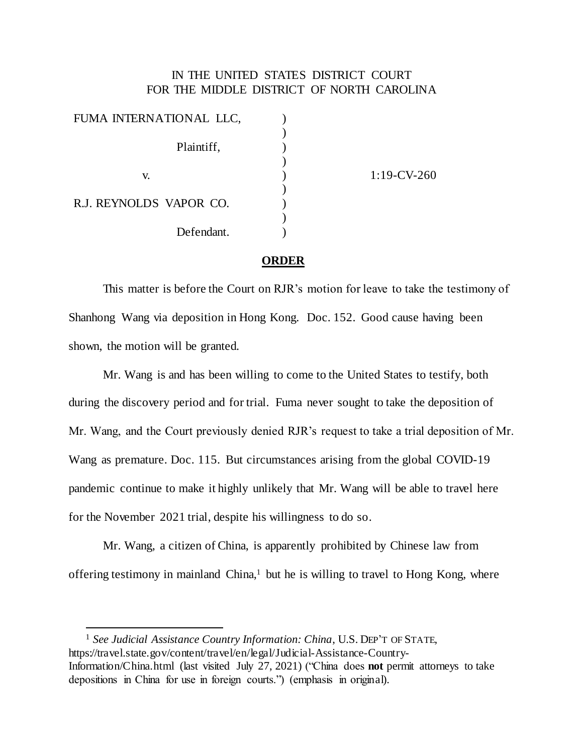## IN THE UNITED STATES DISTRICT COURT FOR THE MIDDLE DISTRICT OF NORTH CAROLINA

| FUMA INTERNATIONAL LLC, |                |
|-------------------------|----------------|
|                         |                |
| Plaintiff,              |                |
|                         |                |
| V.                      | $1:19$ -CV-260 |
|                         |                |
| R.J. REYNOLDS VAPOR CO. |                |
|                         |                |
| Defendant.              |                |

## **ORDER**

This matter is before the Court on RJR's motion for leave to take the testimony of Shanhong Wang via deposition in Hong Kong. Doc. 152. Good cause having been shown, the motion will be granted.

Mr. Wang is and has been willing to come to the United States to testify, both during the discovery period and for trial. Fuma never sought to take the deposition of Mr. Wang, and the Court previously denied RJR's request to take a trial deposition of Mr. Wang as premature. Doc. 115. But circumstances arising from the global COVID-19 pandemic continue to make it highly unlikely that Mr. Wang will be able to travel here for the November 2021 trial, despite his willingness to do so.

Mr. Wang, a citizen of China, is apparently prohibited by Chinese law from offering testimony in mainland China, <sup>1</sup> but he is willing to travel to Hong Kong, where

<sup>1</sup> See Judicial Assistance Country Information: China, U.S. DEP'T OF STATE, https://travel.state.gov/content/travel/en/legal/Judicial-Assistance-Country-Information/China.html (last visited July 27, 2021) ("China does **not** permit attorneys to take depositions in China for use in foreign courts.") (emphasis in original).

l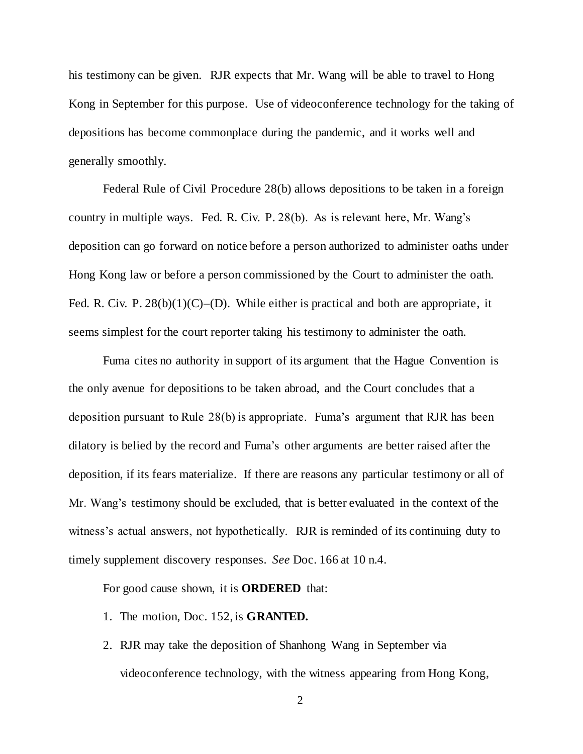his testimony can be given. RJR expects that Mr. Wang will be able to travel to Hong Kong in September for this purpose. Use of videoconference technology for the taking of depositions has become commonplace during the pandemic, and it works well and generally smoothly.

Federal Rule of Civil Procedure 28(b) allows depositions to be taken in a foreign country in multiple ways. Fed. R. Civ. P. 28(b). As is relevant here, Mr. Wang's deposition can go forward on notice before a person authorized to administer oaths under Hong Kong law or before a person commissioned by the Court to administer the oath. Fed. R. Civ. P.  $28(b)(1)(C)$ –(D). While either is practical and both are appropriate, it seems simplest for the court reporter taking his testimony to administer the oath.

Fuma cites no authority in support of its argument that the Hague Convention is the only avenue for depositions to be taken abroad, and the Court concludes that a deposition pursuant to Rule 28(b) is appropriate. Fuma's argument that RJR has been dilatory is belied by the record and Fuma's other arguments are better raised after the deposition, if its fears materialize. If there are reasons any particular testimony or all of Mr. Wang's testimony should be excluded, that is better evaluated in the context of the witness's actual answers, not hypothetically. RJR is reminded of its continuing duty to timely supplement discovery responses. *See* Doc. 166 at 10 n.4.

For good cause shown, it is **ORDERED** that:

- 1. The motion, Doc. 152, is **GRANTED.**
- 2. RJR may take the deposition of Shanhong Wang in September via videoconference technology, with the witness appearing from Hong Kong,

2